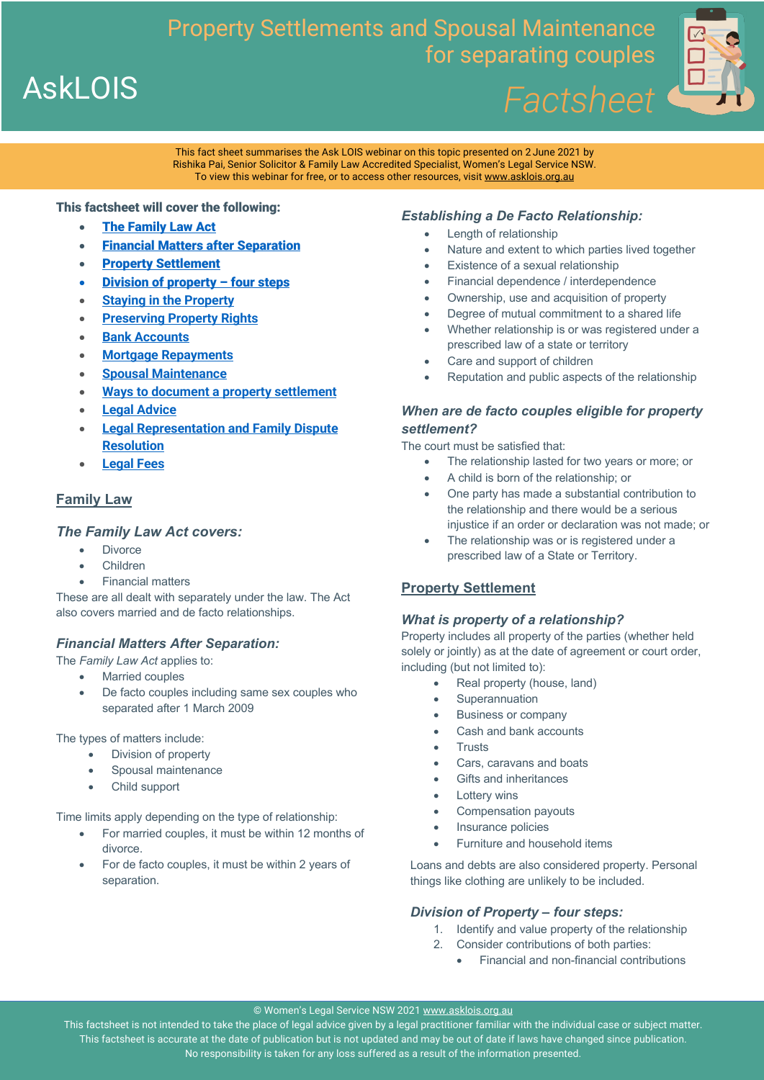Property Settlements and Spousal Maintenance for separating couples *Factsheet*



This fact sheet summarises the Ask LOIS webinar on this topic presented on 2 June 2021 by Rishika Pai, Senior Solicitor & Family Law Accredited Specialist, Women's Legal Service NSW. To view this webinar for free, or to access other resources, visit www.asklois.org.au

#### This factsheet will cover the following:

- **The Family Law Act**
- **Financial Matters after Separation**
- Property Settlement
- Division of property four steps
- **Staying in the Property**
- **Preserving Property Rights**
- **Bank Accounts**
- **Mortgage Repayments**
- **Spousal Maintenance**
- **Ways to document a property settlement**
- **Legal Advice**
- **Legal Representation and Family Dispute Resolution**
- **Legal Fees**

### **Family Law**

**AskLOIS** 

### *The Family Law Act covers:*

- **Divorce**
- Children
- Financial matters

These are all dealt with separately under the law. The Act also covers married and de facto relationships.

### *Financial Matters After Separation:*

The *Family Law Act* applies to:

- Married couples
- De facto couples including same sex couples who separated after 1 March 2009

The types of matters include:

- Division of property
- Spousal maintenance
- Child support

Time limits apply depending on the type of relationship:

- For married couples, it must be within 12 months of divorce.
- For de facto couples, it must be within 2 years of separation.

# *Establishing a De Facto Relationship:*

- Length of relationship
- Nature and extent to which parties lived together
- Existence of a sexual relationship
- Financial dependence / interdependence
- Ownership, use and acquisition of property
- Degree of mutual commitment to a shared life
- Whether relationship is or was registered under a prescribed law of a state or territory
- Care and support of children
- Reputation and public aspects of the relationship

# *When are de facto couples eligible for property settlement?*

The court must be satisfied that:

- The relationship lasted for two years or more; or
- A child is born of the relationship; or
- One party has made a substantial contribution to the relationship and there would be a serious injustice if an order or declaration was not made; or
- The relationship was or is registered under a prescribed law of a State or Territory.

### **Property Settlement**

#### *What is property of a relationship?*

Property includes all property of the parties (whether held solely or jointly) as at the date of agreement or court order, including (but not limited to):

- Real property (house, land)
- **Superannuation**
- Business or company
- Cash and bank accounts
- **Trusts**
- Cars, caravans and boats
- Gifts and inheritances
- Lottery wins
- Compensation payouts
- Insurance policies
- Furniture and household items

Loans and debts are also considered property. Personal things like clothing are unlikely to be included.

### *Division of Property – four steps:*

- 1. Identify and value property of the relationship
- 2. Consider contributions of both parties:
	- Financial and non-financial contributions

© Women's Legal Service NSW 2021 www.asklois.org.au

This factsheet is not intended to take the place of legal advice given by a legal practitioner familiar with the individual case or subject matter. This factsheet is accurate at the date of publication but is not updated and may be out of date if laws have changed since publication. No responsibility is taken for any loss suffered as a result of the information presented.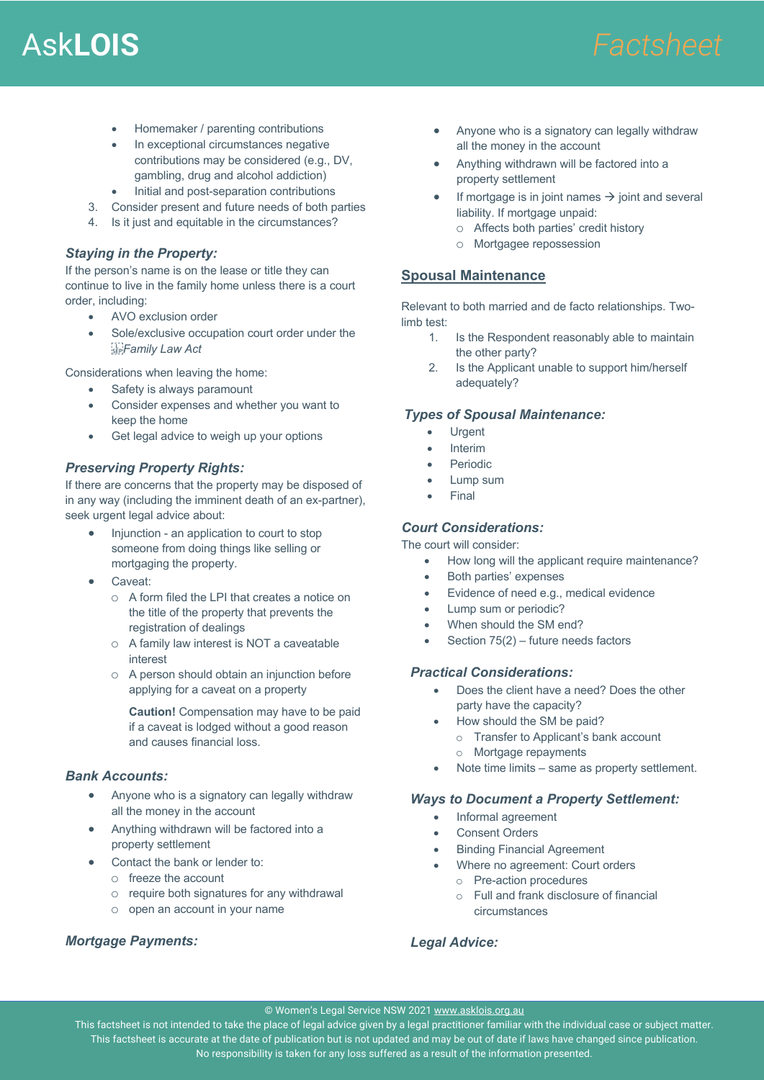# Ask**LOIS** *Factsheet*

- Homemaker / parenting contributions
- In exceptional circumstances negative contributions may be considered (e.g., DV, gambling, drug and alcohol addiction)
- Initial and post-separation contributions
- 3. Consider present and future needs of both parties
- 4. Is it just and equitable in the circumstances?

### *Staying in the Property:*

If the person's name is on the lease or title they can continue to live in the family home unless there is a court order, including:

- AVO exclusion order
- Sole/exclusive occupation court order under the *Family Law Act*

Considerations when leaving the home:

- Safety is always paramount
- Consider expenses and whether you want to keep the home
- Get legal advice to weigh up your options

# *Preserving Property Rights:*

If there are concerns that the property may be disposed of in any way (including the imminent death of an ex-partner), seek urgent legal advice about:

- Injunction an application to court to stop someone from doing things like selling or mortgaging the property.
- Caveat:
	- o A form filed the LPI that creates a notice on the title of the property that prevents the registration of dealings
	- o A family law interest is NOT a caveatable interest
	- o A person should obtain an injunction before applying for a caveat on a property

**Caution!** Compensation may have to be paid if a caveat is lodged without a good reason and causes financial loss.

### *Bank Accounts:*

- Anyone who is a signatory can legally withdraw all the money in the account
- Anything withdrawn will be factored into a property settlement
- Contact the bank or lender to:
	- o freeze the account
	- o require both signatures for any withdrawal
	- o open an account in your name

### *Mortgage Payments:*

- Anyone who is a signatory can legally withdraw all the money in the account
- Anything withdrawn will be factored into a property settlement
- If mortgage is in joint names  $\rightarrow$  joint and several liability. If mortgage unpaid:
	- o Affects both parties' credit history
	- o Mortgagee repossession

# **Spousal Maintenance**

Relevant to both married and de facto relationships. Twolimb test:

- 1. Is the Respondent reasonably able to maintain the other party?
- 2. Is the Applicant unable to support him/herself adequately?

#### *Types of Spousal Maintenance:*

- **Urgent**
- Interim
- **Periodic**
- Lump sum
- **Final**

#### *Court Considerations:*

The court will consider:

- How long will the applicant require maintenance?
- Both parties' expenses
- Evidence of need e.g., medical evidence
- Lump sum or periodic?
- When should the SM end?
- Section 75(2) future needs factors

### *Practical Considerations:*

- Does the client have a need? Does the other party have the capacity?
	- How should the SM be paid?
		- o Transfer to Applicant's bank account
		- o Mortgage repayments
- Note time limits same as property settlement.

#### *Ways to Document a Property Settlement:*

- Informal agreement
- Consent Orders
- Binding Financial Agreement
- Where no agreement: Court orders
	- o Pre-action procedures
	- o Full and frank disclosure of financial circumstances

# *Legal Advice:*

ã Women's Legal Service NSW [YEAR PUBLISHED] www.asklois.org.au © Women's Legal Service NSW 2021 www.asklois.org.au

This factsheet is not intended to take the place of legal advice given by a legal practitioner familiar with the individual case or subject matter. This factsheet is accurate at the date of publication but is not updated and may be out of date if laws have changed since publication. No responsibility is taken for any loss suffered as a result of the information presented.